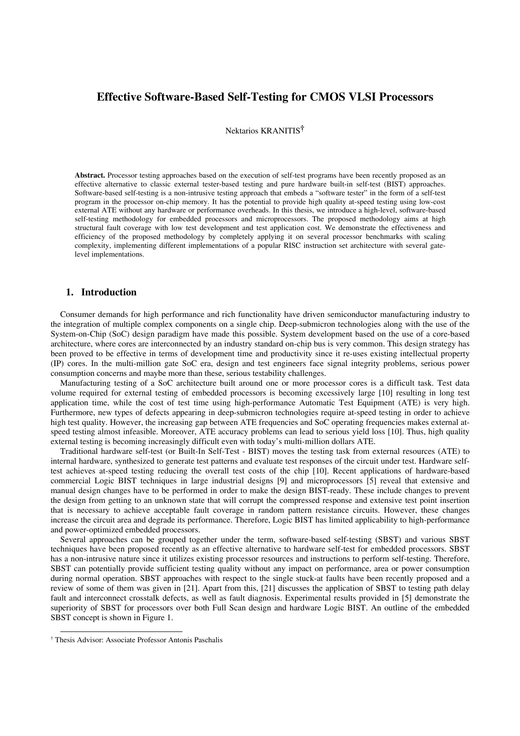# **Effective Software-Based Self-Testing for CMOS VLSI Processors**

Nektarios KRANITIS**†**

**Abstract.** Processor testing approaches based on the execution of self-test programs have been recently proposed as an effective alternative to classic external tester-based testing and pure hardware built-in self-test (BIST) approaches. Software-based self-testing is a non-intrusive testing approach that embeds a "software tester" in the form of a self-test program in the processor on-chip memory. It has the potential to provide high quality at-speed testing using low-cost external ATE without any hardware or performance overheads. In this thesis, we introduce a high-level, software-based self-testing methodology for embedded processors and microprocessors. The proposed methodology aims at high structural fault coverage with low test development and test application cost. We demonstrate the effectiveness and efficiency of the proposed methodology by completely applying it on several processor benchmarks with scaling complexity, implementing different implementations of a popular RISC instruction set architecture with several gatelevel implementations.

## **1. Introduction**

Consumer demands for high performance and rich functionality have driven semiconductor manufacturing industry to the integration of multiple complex components on a single chip. Deep-submicron technologies along with the use of the System-on-Chip (SoC) design paradigm have made this possible. System development based on the use of a core-based architecture, where cores are interconnected by an industry standard on-chip bus is very common. This design strategy has been proved to be effective in terms of development time and productivity since it re-uses existing intellectual property (IP) cores. In the multi-million gate SoC era, design and test engineers face signal integrity problems, serious power consumption concerns and maybe more than these, serious testability challenges.

Manufacturing testing of a SoC architecture built around one or more processor cores is a difficult task. Test data volume required for external testing of embedded processors is becoming excessively large [10] resulting in long test application time, while the cost of test time using high-performance Automatic Test Equipment (ATE) is very high. Furthermore, new types of defects appearing in deep-submicron technologies require at-speed testing in order to achieve high test quality. However, the increasing gap between ATE frequencies and SoC operating frequencies makes external atspeed testing almost infeasible. Moreover, ATE accuracy problems can lead to serious yield loss [10]. Thus, high quality external testing is becoming increasingly difficult even with today's multi-million dollars ATE.

Traditional hardware self-test (or Built-In Self-Test - BIST) moves the testing task from external resources (ATE) to internal hardware, synthesized to generate test patterns and evaluate test responses of the circuit under test. Hardware selftest achieves at-speed testing reducing the overall test costs of the chip [10]. Recent applications of hardware-based commercial Logic BIST techniques in large industrial designs [9] and microprocessors [5] reveal that extensive and manual design changes have to be performed in order to make the design BIST-ready. These include changes to prevent the design from getting to an unknown state that will corrupt the compressed response and extensive test point insertion that is necessary to achieve acceptable fault coverage in random pattern resistance circuits. However, these changes increase the circuit area and degrade its performance. Therefore, Logic BIST has limited applicability to high-performance and power-optimized embedded processors.

Several approaches can be grouped together under the term, software-based self-testing (SBST) and various SBST techniques have been proposed recently as an effective alternative to hardware self-test for embedded processors. SBST has a non-intrusive nature since it utilizes existing processor resources and instructions to perform self-testing. Therefore, SBST can potentially provide sufficient testing quality without any impact on performance, area or power consumption during normal operation. SBST approaches with respect to the single stuck-at faults have been recently proposed and a review of some of them was given in [21]. Apart from this, [21] discusses the application of SBST to testing path delay fault and interconnect crosstalk defects, as well as fault diagnosis. Experimental results provided in [5] demonstrate the superiority of SBST for processors over both Full Scan design and hardware Logic BIST. An outline of the embedded SBST concept is shown in Figure 1.

 <sup>†</sup> Thesis Advisor: Associate Professor Antonis Paschalis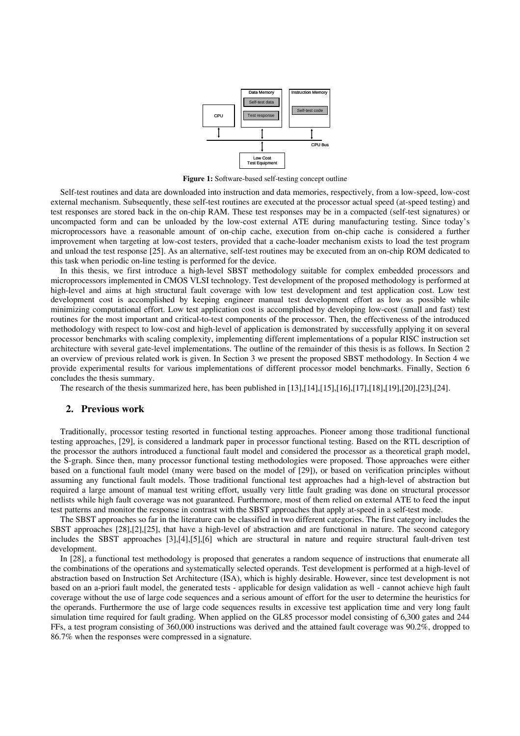

**Figure 1:** Software-based self-testing concept outline

Self-test routines and data are downloaded into instruction and data memories, respectively, from a low-speed, low-cost external mechanism. Subsequently, these self-test routines are executed at the processor actual speed (at-speed testing) and test responses are stored back in the on-chip RAM. These test responses may be in a compacted (self-test signatures) or uncompacted form and can be unloaded by the low-cost external ATE during manufacturing testing. Since today's microprocessors have a reasonable amount of on-chip cache, execution from on-chip cache is considered a further improvement when targeting at low-cost testers, provided that a cache-loader mechanism exists to load the test program and unload the test response [25]. As an alternative, self-test routines may be executed from an on-chip ROM dedicated to this task when periodic on-line testing is performed for the device.

In this thesis, we first introduce a high-level SBST methodology suitable for complex embedded processors and microprocessors implemented in CMOS VLSI technology. Test development of the proposed methodology is performed at high-level and aims at high structural fault coverage with low test development and test application cost. Low test development cost is accomplished by keeping engineer manual test development effort as low as possible while minimizing computational effort. Low test application cost is accomplished by developing low-cost (small and fast) test routines for the most important and critical-to-test components of the processor. Then, the effectiveness of the introduced methodology with respect to low-cost and high-level of application is demonstrated by successfully applying it on several processor benchmarks with scaling complexity, implementing different implementations of a popular RISC instruction set architecture with several gate-level implementations. The outline of the remainder of this thesis is as follows. In Section 2 an overview of previous related work is given. In Section 3 we present the proposed SBST methodology. In Section 4 we provide experimental results for various implementations of different processor model benchmarks. Finally, Section 6 concludes the thesis summary.

The research of the thesis summarized here, has been published in [13],[14],[15],[16],[17],[18],[19],[20],[23],[24].

### **2. Previous work**

Traditionally, processor testing resorted in functional testing approaches. Pioneer among those traditional functional testing approaches, [29], is considered a landmark paper in processor functional testing. Based on the RTL description of the processor the authors introduced a functional fault model and considered the processor as a theoretical graph model, the S-graph. Since then, many processor functional testing methodologies were proposed. Those approaches were either based on a functional fault model (many were based on the model of [29]), or based on verification principles without assuming any functional fault models. Those traditional functional test approaches had a high-level of abstraction but required a large amount of manual test writing effort, usually very little fault grading was done on structural processor netlists while high fault coverage was not guaranteed. Furthermore, most of them relied on external ATE to feed the input test patterns and monitor the response in contrast with the SBST approaches that apply at-speed in a self-test mode.

The SBST approaches so far in the literature can be classified in two different categories. The first category includes the SBST approaches [28],[2],[25], that have a high-level of abstraction and are functional in nature. The second category includes the SBST approaches [3],[4],[5],[6] which are structural in nature and require structural fault-driven test development.

In [28], a functional test methodology is proposed that generates a random sequence of instructions that enumerate all the combinations of the operations and systematically selected operands. Test development is performed at a high-level of abstraction based on Instruction Set Architecture (ISA), which is highly desirable. However, since test development is not based on an a-priori fault model, the generated tests - applicable for design validation as well - cannot achieve high fault coverage without the use of large code sequences and a serious amount of effort for the user to determine the heuristics for the operands. Furthermore the use of large code sequences results in excessive test application time and very long fault simulation time required for fault grading. When applied on the GL85 processor model consisting of 6,300 gates and 244 FFs, a test program consisting of 360,000 instructions was derived and the attained fault coverage was 90.2%, dropped to 86.7% when the responses were compressed in a signature.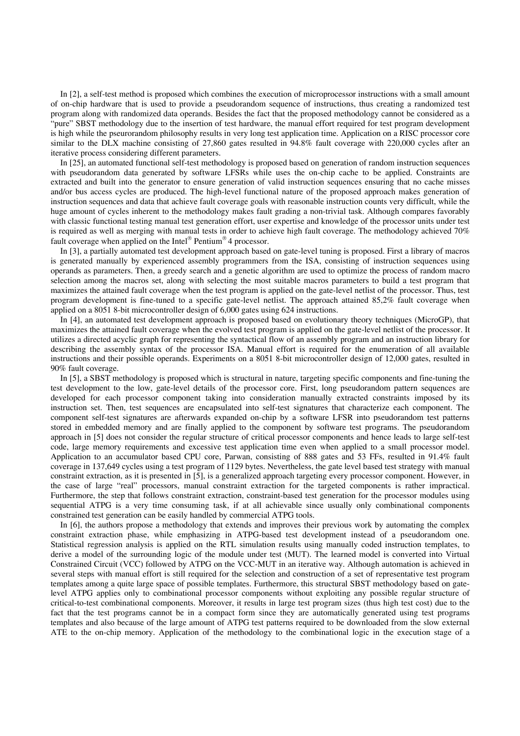In [2], a self-test method is proposed which combines the execution of microprocessor instructions with a small amount of on-chip hardware that is used to provide a pseudorandom sequence of instructions, thus creating a randomized test program along with randomized data operands. Besides the fact that the proposed methodology cannot be considered as a "pure" SBST methodology due to the insertion of test hardware, the manual effort required for test program development is high while the pseurorandom philosophy results in very long test application time. Application on a RISC processor core similar to the DLX machine consisting of 27,860 gates resulted in 94.8% fault coverage with 220,000 cycles after an iterative process considering different parameters.

In [25], an automated functional self-test methodology is proposed based on generation of random instruction sequences with pseudorandom data generated by software LFSRs while uses the on-chip cache to be applied. Constraints are extracted and built into the generator to ensure generation of valid instruction sequences ensuring that no cache misses and/or bus access cycles are produced. The high-level functional nature of the proposed approach makes generation of instruction sequences and data that achieve fault coverage goals with reasonable instruction counts very difficult, while the huge amount of cycles inherent to the methodology makes fault grading a non-trivial task. Although compares favorably with classic functional testing manual test generation effort, user expertise and knowledge of the processor units under test is required as well as merging with manual tests in order to achieve high fault coverage. The methodology achieved 70% fault coverage when applied on the Intel® Pentium® 4 processor.

In [3], a partially automated test development approach based on gate-level tuning is proposed. First a library of macros is generated manually by experienced assembly programmers from the ISA, consisting of instruction sequences using operands as parameters. Then, a greedy search and a genetic algorithm are used to optimize the process of random macro selection among the macros set, along with selecting the most suitable macros parameters to build a test program that maximizes the attained fault coverage when the test program is applied on the gate-level netlist of the processor. Thus, test program development is fine-tuned to a specific gate-level netlist. The approach attained 85,2% fault coverage when applied on a 8051 8-bit microcontroller design of 6,000 gates using 624 instructions.

In [4], an automated test development approach is proposed based on evolutionary theory techniques (MicroGP), that maximizes the attained fault coverage when the evolved test program is applied on the gate-level netlist of the processor. It utilizes a directed acyclic graph for representing the syntactical flow of an assembly program and an instruction library for describing the assembly syntax of the processor ISA. Manual effort is required for the enumeration of all available instructions and their possible operands. Experiments on a 8051 8-bit microcontroller design of 12,000 gates, resulted in 90% fault coverage.

In [5], a SBST methodology is proposed which is structural in nature, targeting specific components and fine-tuning the test development to the low, gate-level details of the processor core. First, long pseudorandom pattern sequences are developed for each processor component taking into consideration manually extracted constraints imposed by its instruction set. Then, test sequences are encapsulated into self-test signatures that characterize each component. The component self-test signatures are afterwards expanded on-chip by a software LFSR into pseudorandom test patterns stored in embedded memory and are finally applied to the component by software test programs. The pseudorandom approach in [5] does not consider the regular structure of critical processor components and hence leads to large self-test code, large memory requirements and excessive test application time even when applied to a small processor model. Application to an accumulator based CPU core, Parwan, consisting of 888 gates and 53 FFs, resulted in 91.4% fault coverage in 137,649 cycles using a test program of 1129 bytes. Nevertheless, the gate level based test strategy with manual constraint extraction, as it is presented in [5], is a generalized approach targeting every processor component. However, in the case of large "real" processors, manual constraint extraction for the targeted components is rather impractical. Furthermore, the step that follows constraint extraction, constraint-based test generation for the processor modules using sequential ATPG is a very time consuming task, if at all achievable since usually only combinational components constrained test generation can be easily handled by commercial ATPG tools.

In [6], the authors propose a methodology that extends and improves their previous work by automating the complex constraint extraction phase, while emphasizing in ATPG-based test development instead of a pseudorandom one. Statistical regression analysis is applied on the RTL simulation results using manually coded instruction templates, to derive a model of the surrounding logic of the module under test (MUT). The learned model is converted into Virtual Constrained Circuit (VCC) followed by ATPG on the VCC-MUT in an iterative way. Although automation is achieved in several steps with manual effort is still required for the selection and construction of a set of representative test program templates among a quite large space of possible templates. Furthermore, this structural SBST methodology based on gatelevel ATPG applies only to combinational processor components without exploiting any possible regular structure of critical-to-test combinational components. Moreover, it results in large test program sizes (thus high test cost) due to the fact that the test programs cannot be in a compact form since they are automatically generated using test programs templates and also because of the large amount of ATPG test patterns required to be downloaded from the slow external ATE to the on-chip memory. Application of the methodology to the combinational logic in the execution stage of a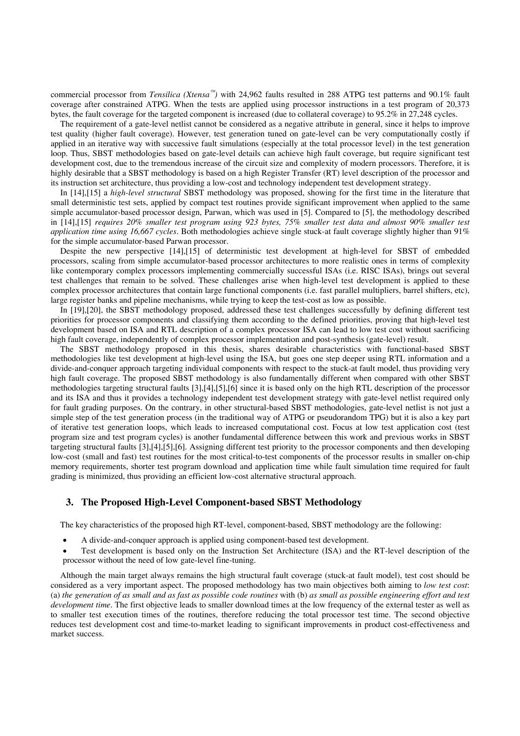commercial processor from *Tensilica (Xtensa<sup>™</sup>)* with 24,962 faults resulted in 288 ATPG test patterns and 90.1% fault coverage after constrained ATPG. When the tests are applied using processor instructions in a test program of 20,373 bytes, the fault coverage for the targeted component is increased (due to collateral coverage) to 95.2% in 27,248 cycles.

The requirement of a gate-level netlist cannot be considered as a negative attribute in general, since it helps to improve test quality (higher fault coverage). However, test generation tuned on gate-level can be very computationally costly if applied in an iterative way with successive fault simulations (especially at the total processor level) in the test generation loop. Thus, SBST methodologies based on gate-level details can achieve high fault coverage, but require significant test development cost, due to the tremendous increase of the circuit size and complexity of modern processors. Therefore, it is highly desirable that a SBST methodology is based on a high Register Transfer (RT) level description of the processor and its instruction set architecture, thus providing a low-cost and technology independent test development strategy.

In [14],[15] a *high-level structural* SBST methodology was proposed, showing for the first time in the literature that small deterministic test sets, applied by compact test routines provide significant improvement when applied to the same simple accumulator-based processor design, Parwan, which was used in [5]. Compared to [5], the methodology described in [14],[15] *requires 20% smaller test program using 923 bytes, 75% smaller test data and almost 90% smaller test application time using 16,667 cycles*. Both methodologies achieve single stuck-at fault coverage slightly higher than 91% for the simple accumulator-based Parwan processor.

Despite the new perspective [14],[15] of deterministic test development at high-level for SBST of embedded processors, scaling from simple accumulator-based processor architectures to more realistic ones in terms of complexity like contemporary complex processors implementing commercially successful ISAs (i.e. RISC ISAs), brings out several test challenges that remain to be solved. These challenges arise when high-level test development is applied to these complex processor architectures that contain large functional components (i.e. fast parallel multipliers, barrel shifters, etc), large register banks and pipeline mechanisms, while trying to keep the test-cost as low as possible.

In [19],[20], the SBST methodology proposed, addressed these test challenges successfully by defining different test priorities for processor components and classifying them according to the defined priorities, proving that high-level test development based on ISA and RTL description of a complex processor ISA can lead to low test cost without sacrificing high fault coverage, independently of complex processor implementation and post-synthesis (gate-level) result.

The SBST methodology proposed in this thesis, shares desirable characteristics with functional-based SBST methodologies like test development at high-level using the ISA, but goes one step deeper using RTL information and a divide-and-conquer approach targeting individual components with respect to the stuck-at fault model, thus providing very high fault coverage. The proposed SBST methodology is also fundamentally different when compared with other SBST methodologies targeting structural faults [3],[4],[5],[6] since it is based only on the high RTL description of the processor and its ISA and thus it provides a technology independent test development strategy with gate-level netlist required only for fault grading purposes. On the contrary, in other structural-based SBST methodologies, gate-level netlist is not just a simple step of the test generation process (in the traditional way of ATPG or pseudorandom TPG) but it is also a key part of iterative test generation loops, which leads to increased computational cost. Focus at low test application cost (test program size and test program cycles) is another fundamental difference between this work and previous works in SBST targeting structural faults [3],[4],[5],[6]. Assigning different test priority to the processor components and then developing low-cost (small and fast) test routines for the most critical-to-test components of the processor results in smaller on-chip memory requirements, shorter test program download and application time while fault simulation time required for fault grading is minimized, thus providing an efficient low-cost alternative structural approach.

## **3. The Proposed High-Level Component-based SBST Methodology**

The key characteristics of the proposed high RT-level, component-based, SBST methodology are the following:

- A divide-and-conquer approach is applied using component-based test development.
- Test development is based only on the Instruction Set Architecture (ISA) and the RT-level description of the processor without the need of low gate-level fine-tuning.

Although the main target always remains the high structural fault coverage (stuck-at fault model), test cost should be considered as a very important aspect. The proposed methodology has two main objectives both aiming to *low test cost*: (a) *the generation of as small and as fast as possible code routines* with (b) *as small as possible engineering effort and test development time*. The first objective leads to smaller download times at the low frequency of the external tester as well as to smaller test execution times of the routines, therefore reducing the total processor test time. The second objective reduces test development cost and time-to-market leading to significant improvements in product cost-effectiveness and market success.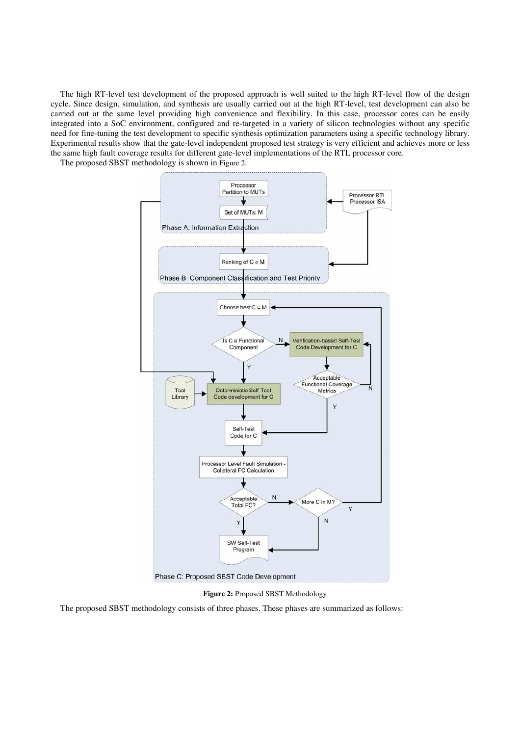The high RT-level test development of the proposed approach is well suited to the high RT-level flow of the design cycle. Since design, simulation, and synthesis are usually carried out at the high RT-level, test development can also be carried out at the same level providing high convenience and flexibility. In this case, processor cores can be easily integrated into a SoC environment, configured and re-targeted in a variety of silicon technologies without any specific need for fine-tuning the test development to specific synthesis optimization parameters using a specific technology library. Experimental results show that the gate-level independent proposed test strategy is very efficient and achieves more or less the same high fault coverage results for different gate-level implementations of the RTL processor core.

The proposed SBST methodology is shown in Figure 2.



**Figure 2:** Proposed SBST Methodology

The proposed SBST methodology consists of three phases. These phases are summarized as follows: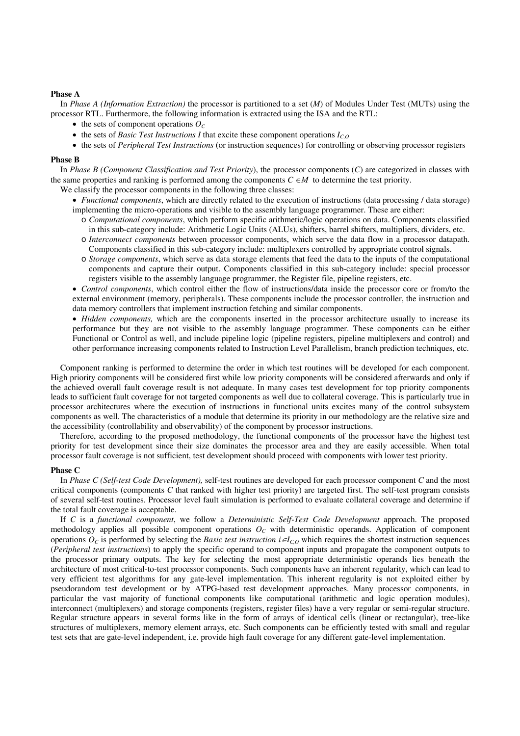### **Phase A**

In *Phase A (Information Extraction)* the processor is partitioned to a set (*M*) of Modules Under Test (MUTs) using the processor RTL. Furthermore, the following information is extracted using the ISA and the RTL:

- the sets of component operations  $O<sub>C</sub>$
- the sets of *Basic Test Instructions I* that excite these component operations  $I_{C,O}$
- the sets of *Peripheral Test Instructions* (or instruction sequences) for controlling or observing processor registers

#### **Phase B**

In *Phase B (Component Classification and Test Priority*), the processor components (*C*) are categorized in classes with the same properties and ranking is performed among the components  $C \in M$  to determine the test priority.

We classify the processor components in the following three classes:

- *Functional components*, which are directly related to the execution of instructions (data processing / data storage) implementing the micro-operations and visible to the assembly language programmer. These are either:
	- o *Computational components*, which perform specific arithmetic/logic operations on data. Components classified in this sub-category include: Arithmetic Logic Units (ALUs), shifters, barrel shifters, multipliers, dividers, etc.
	- o *Interconnect components* between processor components, which serve the data flow in a processor datapath. Components classified in this sub-category include: multiplexers controlled by appropriate control signals.
	- o *Storage components*, which serve as data storage elements that feed the data to the inputs of the computational components and capture their output. Components classified in this sub-category include: special processor registers visible to the assembly language programmer, the Register file, pipeline registers, etc.

• *Control components*, which control either the flow of instructions/data inside the processor core or from/to the external environment (memory, peripherals). These components include the processor controller, the instruction and data memory controllers that implement instruction fetching and similar components.

• *Hidden components*, which are the components inserted in the processor architecture usually to increase its performance but they are not visible to the assembly language programmer. These components can be either Functional or Control as well, and include pipeline logic (pipeline registers, pipeline multiplexers and control) and other performance increasing components related to Instruction Level Parallelism, branch prediction techniques, etc.

Component ranking is performed to determine the order in which test routines will be developed for each component. High priority components will be considered first while low priority components will be considered afterwards and only if the achieved overall fault coverage result is not adequate. In many cases test development for top priority components leads to sufficient fault coverage for not targeted components as well due to collateral coverage. This is particularly true in processor architectures where the execution of instructions in functional units excites many of the control subsystem components as well. The characteristics of a module that determine its priority in our methodology are the relative size and the accessibility (controllability and observability) of the component by processor instructions.

Therefore, according to the proposed methodology, the functional components of the processor have the highest test priority for test development since their size dominates the processor area and they are easily accessible. When total processor fault coverage is not sufficient, test development should proceed with components with lower test priority.

#### **Phase C**

In *Phase C (Self-test Code Development),* self-test routines are developed for each processor component *C* and the most critical components (components *C* that ranked with higher test priority) are targeted first. The self-test program consists of several self-test routines. Processor level fault simulation is performed to evaluate collateral coverage and determine if the total fault coverage is acceptable.

If *C* is a *functional component*, we follow a *Deterministic Self-Test Code Development* approach. The proposed methodology applies all possible component operations  $O<sub>C</sub>$  with deterministic operands. Application of component operations  $O_C$  is performed by selecting the *Basic test instruction*  $i \in I_{C,O}$  which requires the shortest instruction sequences (*Peripheral test instructions*) to apply the specific operand to component inputs and propagate the component outputs to the processor primary outputs. The key for selecting the most appropriate deterministic operands lies beneath the architecture of most critical-to-test processor components. Such components have an inherent regularity, which can lead to very efficient test algorithms for any gate-level implementation. This inherent regularity is not exploited either by pseudorandom test development or by ATPG-based test development approaches. Many processor components, in particular the vast majority of functional components like computational (arithmetic and logic operation modules), interconnect (multiplexers) and storage components (registers, register files) have a very regular or semi-regular structure. Regular structure appears in several forms like in the form of arrays of identical cells (linear or rectangular), tree-like structures of multiplexers, memory element arrays, etc. Such components can be efficiently tested with small and regular test sets that are gate-level independent, i.e. provide high fault coverage for any different gate-level implementation.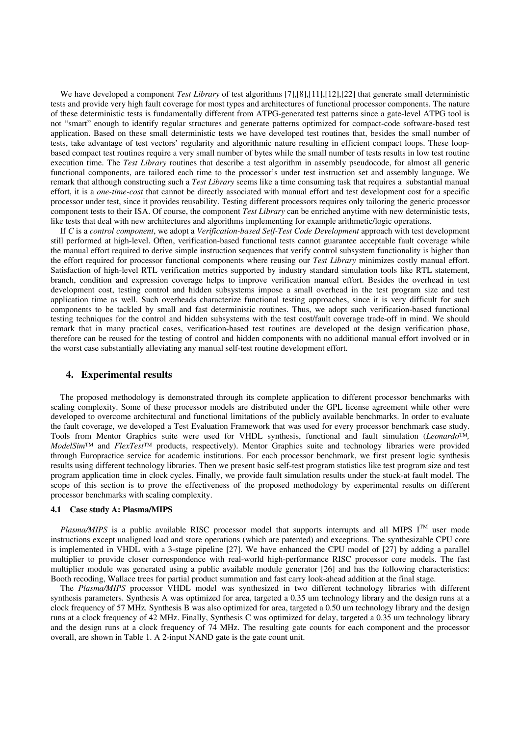We have developed a component *Test Library* of test algorithms [7],[8],[11],[12],[22] that generate small deterministic tests and provide very high fault coverage for most types and architectures of functional processor components. The nature of these deterministic tests is fundamentally different from ATPG-generated test patterns since a gate-level ATPG tool is not "smart" enough to identify regular structures and generate patterns optimized for compact-code software-based test application. Based on these small deterministic tests we have developed test routines that, besides the small number of tests, take advantage of test vectors' regularity and algorithmic nature resulting in efficient compact loops. These loopbased compact test routines require a very small number of bytes while the small number of tests results in low test routine execution time. The *Test Library* routines that describe a test algorithm in assembly pseudocode, for almost all generic functional components, are tailored each time to the processor's under test instruction set and assembly language. We remark that although constructing such a *Test Library* seems like a time consuming task that requires a substantial manual effort, it is a *one-time-cost* that cannot be directly associated with manual effort and test development cost for a specific processor under test, since it provides reusability. Testing different processors requires only tailoring the generic processor component tests to their ISA. Of course, the component *Test Library* can be enriched anytime with new deterministic tests, like tests that deal with new architectures and algorithms implementing for example arithmetic/logic operations.

If *C* is a *control component*, we adopt a *Verification-based Self-Test Code Development* approach with test development still performed at high-level. Often, verification-based functional tests cannot guarantee acceptable fault coverage while the manual effort required to derive simple instruction sequences that verify control subsystem functionality is higher than the effort required for processor functional components where reusing our *Test Library* minimizes costly manual effort. Satisfaction of high-level RTL verification metrics supported by industry standard simulation tools like RTL statement, branch, condition and expression coverage helps to improve verification manual effort. Besides the overhead in test development cost, testing control and hidden subsystems impose a small overhead in the test program size and test application time as well. Such overheads characterize functional testing approaches, since it is very difficult for such components to be tackled by small and fast deterministic routines. Thus, we adopt such verification-based functional testing techniques for the control and hidden subsystems with the test cost/fault coverage trade-off in mind. We should remark that in many practical cases, verification-based test routines are developed at the design verification phase, therefore can be reused for the testing of control and hidden components with no additional manual effort involved or in the worst case substantially alleviating any manual self-test routine development effort.

### **4. Experimental results**

The proposed methodology is demonstrated through its complete application to different processor benchmarks with scaling complexity. Some of these processor models are distributed under the GPL license agreement while other were developed to overcome architectural and functional limitations of the publicly available benchmarks. In order to evaluate the fault coverage, we developed a Test Evaluation Framework that was used for every processor benchmark case study. Tools from Mentor Graphics suite were used for VHDL synthesis, functional and fault simulation (*Leonardo™, ModelSim™* and *FlexTest™* products, respectively). Mentor Graphics suite and technology libraries were provided through Europractice service for academic institutions. For each processor benchmark, we first present logic synthesis results using different technology libraries. Then we present basic self-test program statistics like test program size and test program application time in clock cycles. Finally, we provide fault simulation results under the stuck-at fault model. The scope of this section is to prove the effectiveness of the proposed methodology by experimental results on different processor benchmarks with scaling complexity.

### **4.1 Case study A: Plasma/MIPS**

*Plasma/MIPS* is a public available RISC processor model that supports interrupts and all MIPS  $I<sup>TM</sup>$  user mode instructions except unaligned load and store operations (which are patented) and exceptions. The synthesizable CPU core is implemented in VHDL with a 3-stage pipeline [27]. We have enhanced the CPU model of [27] by adding a parallel multiplier to provide closer correspondence with real-world high-performance RISC processor core models. The fast multiplier module was generated using a public available module generator [26] and has the following characteristics: Booth recoding, Wallace trees for partial product summation and fast carry look-ahead addition at the final stage.

The *Plasma/MIPS* processor VHDL model was synthesized in two different technology libraries with different synthesis parameters. Synthesis A was optimized for area, targeted a 0.35 um technology library and the design runs at a clock frequency of 57 MHz. Synthesis B was also optimized for area, targeted a 0.50 um technology library and the design runs at a clock frequency of 42 MHz. Finally, Synthesis C was optimized for delay, targeted a 0.35 um technology library and the design runs at a clock frequency of 74 MHz. The resulting gate counts for each component and the processor overall, are shown in Table 1. A 2-input NAND gate is the gate count unit.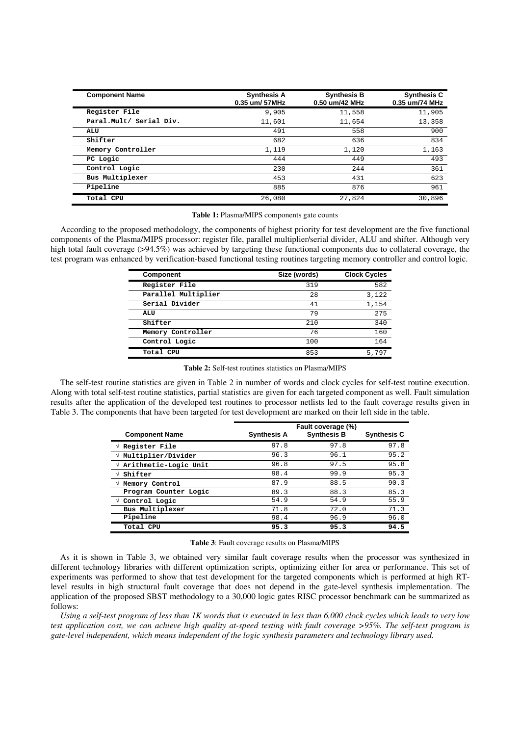| <b>Component Name</b>   | <b>Synthesis A</b><br>0.35 um/ 57MHz | <b>Synthesis B</b><br>0.50 um/42 MHz | <b>Synthesis C</b><br>0.35 um/74 MHz |
|-------------------------|--------------------------------------|--------------------------------------|--------------------------------------|
| Register File           | 9,905                                | 11,558                               | 11,905                               |
| Paral.Mult/ Serial Div. | 11,601                               | 11,654                               | 13,358                               |
| ALU                     | 491                                  | 558                                  | 900                                  |
| Shifter                 | 682                                  | 636                                  | 834                                  |
| Memory Controller       | 1,119                                | 1,120                                | 1,163                                |
| PC Logic                | 444                                  | 449                                  | 493                                  |
| Control Logic           | 230                                  | 244                                  | 361                                  |
| Bus Multiplexer         | 453                                  | 431                                  | 623                                  |
| Pipeline                | 885                                  | 876                                  | 961                                  |
| Total CPU               | 26,080                               | 27,824                               | 30,896                               |

**Table 1:** Plasma/MIPS components gate counts

According to the proposed methodology, the components of highest priority for test development are the five functional components of the Plasma/MIPS processor: register file, parallel multiplier/serial divider, ALU and shifter. Although very high total fault coverage (>94.5%) was achieved by targeting these functional components due to collateral coverage, the test program was enhanced by verification-based functional testing routines targeting memory controller and control logic.

| Component           | Size (words) | <b>Clock Cycles</b> |
|---------------------|--------------|---------------------|
| Register File       | 319          | 582                 |
| Parallel Multiplier | 28           | 3,122               |
| Serial Divider      | 41           | 1,154               |
| <b>ALU</b>          | 79           | 275                 |
| Shifter             | 210          | 340                 |
| Memory Controller   | 76           | 160                 |
| Control Logic       | 100          | 164                 |
| Total CPU           | 853          | 5,797               |

**Table 2:** Self-test routines statistics on Plasma/MIPS

The self-test routine statistics are given in Table 2 in number of words and clock cycles for self-test routine execution. Along with total self-test routine statistics, partial statistics are given for each targeted component as well. Fault simulation results after the application of the developed test routines to processor netlists led to the fault coverage results given in Table 3. The components that have been targeted for test development are marked on their left side in the table.

| <b>Component Name</b> | <b>Synthesis A</b> | Fault coverage (%)<br><b>Synthesis B</b> | <b>Synthesis C</b> |
|-----------------------|--------------------|------------------------------------------|--------------------|
| Register File         | 97.8               | 97.8                                     | 97.8               |
| Multiplier/Divider    | 96.3               | 96.1                                     | 95.2               |
| Arithmetic-Logic Unit | 96.8               | 97.5                                     | 95.8               |
| Shifter               | 98.4               | 99.9                                     | 95.3               |
| Memory Control        | 87.9               | 88.5                                     | 90.3               |
| Program Counter Logic | 89.3               | 88.3                                     | 85.3               |
| Control Logic         | 54.9               | 54.9                                     | 55.9               |
| Bus Multiplexer       | 71.8               | 72.0                                     | 71.3               |
| Pipeline              | 98.4               | 96.9                                     | 96.0               |
| Total CPU             | 95.3               | 95.3                                     | 94.5               |

#### **Table 3**: Fault coverage results on Plasma/MIPS

As it is shown in Table 3, we obtained very similar fault coverage results when the processor was synthesized in different technology libraries with different optimization scripts, optimizing either for area or performance. This set of experiments was performed to show that test development for the targeted components which is performed at high RTlevel results in high structural fault coverage that does not depend in the gate-level synthesis implementation. The application of the proposed SBST methodology to a 30,000 logic gates RISC processor benchmark can be summarized as follows:

*Using a self-test program of less than 1K words that is executed in less than 6,000 clock cycles which leads to very low test application cost, we can achieve high quality at-speed testing with fault coverage >95%. The self-test program is gate-level independent, which means independent of the logic synthesis parameters and technology library used.*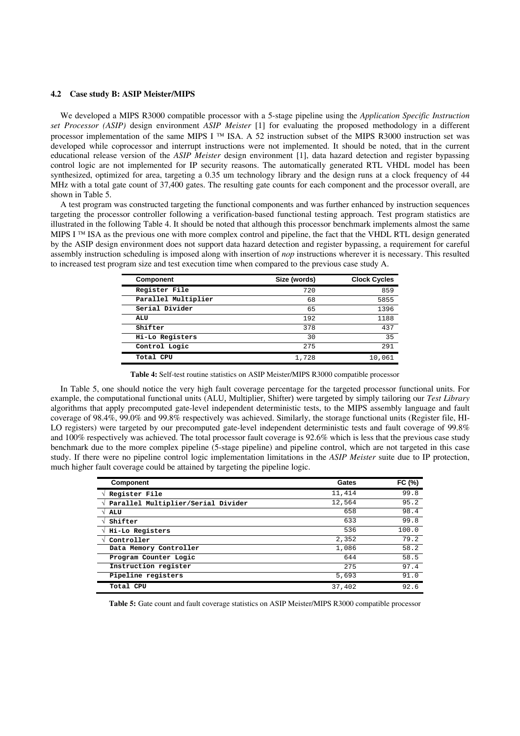### **4.2 Case study B: ASIP Meister/MIPS**

We developed a MIPS R3000 compatible processor with a 5-stage pipeline using the *Application Specific Instruction set Processor (ASIP)* design environment *ASIP Meister* [1] for evaluating the proposed methodology in a different processor implementation of the same MIPS I ™ ISA. A 52 instruction subset of the MIPS R3000 instruction set was developed while coprocessor and interrupt instructions were not implemented. It should be noted, that in the current educational release version of the *ASIP Meister* design environment [1], data hazard detection and register bypassing control logic are not implemented for IP security reasons. The automatically generated RTL VHDL model has been synthesized, optimized for area, targeting a 0.35 um technology library and the design runs at a clock frequency of 44 MHz with a total gate count of 37,400 gates. The resulting gate counts for each component and the processor overall, are shown in Table 5.

A test program was constructed targeting the functional components and was further enhanced by instruction sequences targeting the processor controller following a verification-based functional testing approach. Test program statistics are illustrated in the following Table 4. It should be noted that although this processor benchmark implements almost the same MIPS I ™ ISA as the previous one with more complex control and pipeline, the fact that the VHDL RTL design generated by the ASIP design environment does not support data hazard detection and register bypassing, a requirement for careful assembly instruction scheduling is imposed along with insertion of *nop* instructions wherever it is necessary. This resulted to increased test program size and test execution time when compared to the previous case study A.

| Component           | Size (words) | <b>Clock Cycles</b> |
|---------------------|--------------|---------------------|
| Register File       | 720          | 859                 |
| Parallel Multiplier | 68           | 5855                |
| Serial Divider      | 65           | 1396                |
| ALU                 | 192          | 1188                |
| Shifter             | 378          | 437                 |
| Hi-Lo Registers     | 30           | 35                  |
| Control Logic       | 275          | 291                 |
| Total CPU           | 1,728        | 10,061              |

**Table 4:** Self-test routine statistics on ASIP Meister/MIPS R3000 compatible processor

In Table 5, one should notice the very high fault coverage percentage for the targeted processor functional units. For example, the computational functional units (ALU, Multiplier, Shifter) were targeted by simply tailoring our *Test Library* algorithms that apply precomputed gate-level independent deterministic tests, to the MIPS assembly language and fault coverage of 98.4%, 99.0% and 99.8% respectively was achieved. Similarly, the storage functional units (Register file, HI-LO registers) were targeted by our precomputed gate-level independent deterministic tests and fault coverage of 99.8% and 100% respectively was achieved. The total processor fault coverage is 92.6% which is less that the previous case study benchmark due to the more complex pipeline (5-stage pipeline) and pipeline control, which are not targeted in this case study. If there were no pipeline control logic implementation limitations in the *ASIP Meister* suite due to IP protection, much higher fault coverage could be attained by targeting the pipeline logic.

| <b>Component</b>                   | Gates  | FC (%) |
|------------------------------------|--------|--------|
| Register File                      | 11,414 | 99.8   |
| Parallel Multiplier/Serial Divider | 12,564 | 95.2   |
| ALU                                | 658    | 98.4   |
| Shifter                            | 633    | 99.8   |
| Hi-Lo Registers                    | 536    | 100.0  |
| Controller                         | 2,352  | 79.2   |
| Data Memory Controller             | 1,086  | 58.2   |
| Program Counter Logic              | 644    | 58.5   |
| Instruction register               | 275    | 97.4   |
| Pipeline registers                 | 5,693  | 91.0   |
| Total CPU                          | 37,402 | 92.6   |

**Table 5:** Gate count and fault coverage statistics on ASIP Meister/MIPS R3000 compatible processor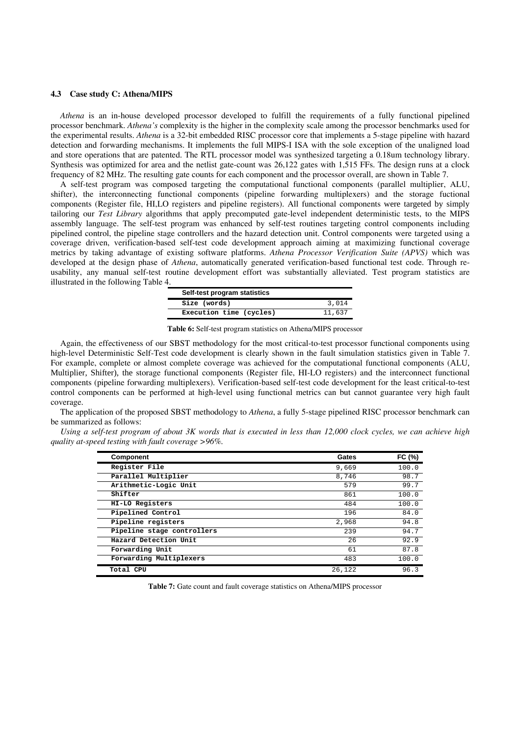#### **4.3 Case study C: Athena/MIPS**

*Athena* is an in-house developed processor developed to fulfill the requirements of a fully functional pipelined processor benchmark. *Athena's* complexity is the higher in the complexity scale among the processor benchmarks used for the experimental results. *Athena* is a 32-bit embedded RISC processor core that implements a 5-stage pipeline with hazard detection and forwarding mechanisms. It implements the full MIPS-I ISA with the sole exception of the unaligned load and store operations that are patented. The RTL processor model was synthesized targeting a 0.18um technology library. Synthesis was optimized for area and the netlist gate-count was 26,122 gates with 1,515 FFs. The design runs at a clock frequency of 82 MHz. The resulting gate counts for each component and the processor overall, are shown in Table 7.

A self-test program was composed targeting the computational functional components (parallel multiplier, ALU, shifter), the interconnecting functional components (pipeline forwarding multiplexers) and the storage fuctional components (Register file, HI,LO registers and pipeline registers). All functional components were targeted by simply tailoring our *Test Library* algorithms that apply precomputed gate-level independent deterministic tests, to the MIPS assembly language. The self-test program was enhanced by self-test routines targeting control components including pipelined control, the pipeline stage controllers and the hazard detection unit. Control components were targeted using a coverage driven, verification-based self-test code development approach aiming at maximizing functional coverage metrics by taking advantage of existing software platforms. *Athena Processor Verification Suite (APVS)* which was developed at the design phase of *Athena*, automatically generated verification-based functional test code. Through reusability, any manual self-test routine development effort was substantially alleviated. Test program statistics are illustrated in the following Table 4.

| Self-test program statistics |        |
|------------------------------|--------|
| Size (words)                 | 3,014  |
| Execution time (cycles)      | 11,637 |

**Table 6:** Self-test program statistics on Athena/MIPS processor

Again, the effectiveness of our SBST methodology for the most critical-to-test processor functional components using high-level Deterministic Self-Test code development is clearly shown in the fault simulation statistics given in Table 7. For example, complete or almost complete coverage was achieved for the computational functional components (ALU, Multiplier, Shifter), the storage functional components (Register file, HI-LO registers) and the interconnect functional components (pipeline forwarding multiplexers). Verification-based self-test code development for the least critical-to-test control components can be performed at high-level using functional metrics can but cannot guarantee very high fault coverage.

The application of the proposed SBST methodology to *Athena*, a fully 5-stage pipelined RISC processor benchmark can be summarized as follows:

*Using a self-test program of about 3K words that is executed in less than 12,000 clock cycles, we can achieve high quality at-speed testing with fault coverage >96%.* 

| Component                  | Gates  | FC $(%)$ |
|----------------------------|--------|----------|
| Register File              | 9,669  | 100.0    |
| Parallel Multiplier        | 8,746  | 98.7     |
| Arithmetic-Logic Unit      | 579    | 99.7     |
| Shifter                    | 861    | 100.0    |
| HI-LO Registers            | 484    | 100.0    |
| Pipelined Control          | 196    | 84.0     |
| Pipeline registers         | 2,968  | 94.8     |
| Pipeline stage controllers | 239    | 94.7     |
| Hazard Detection Unit      | 26     | 92.9     |
| Forwarding Unit            | 61     | 87.8     |
| Forwarding Multiplexers    | 483    | 100.0    |
| Total CPU                  | 26,122 | 96.3     |

**Table 7:** Gate count and fault coverage statistics on Athena/MIPS processor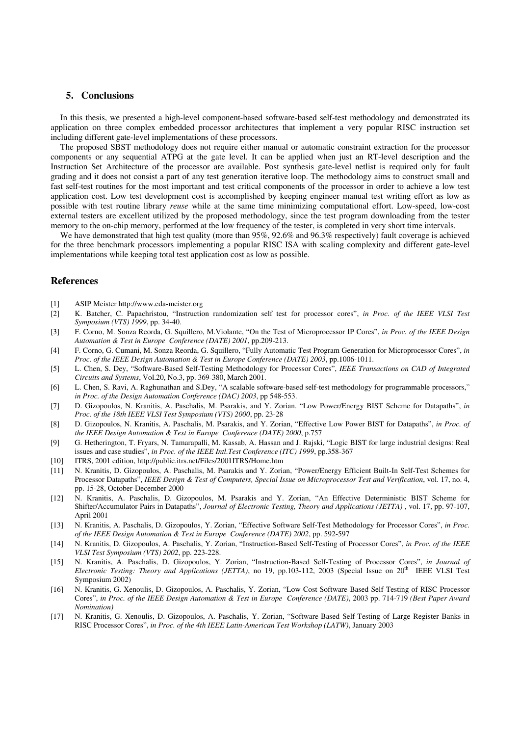### **5. Conclusions**

In this thesis, we presented a high-level component-based software-based self-test methodology and demonstrated its application on three complex embedded processor architectures that implement a very popular RISC instruction set including different gate-level implementations of these processors.

The proposed SBST methodology does not require either manual or automatic constraint extraction for the processor components or any sequential ATPG at the gate level. It can be applied when just an RT-level description and the Instruction Set Architecture of the processor are available. Post synthesis gate-level netlist is required only for fault grading and it does not consist a part of any test generation iterative loop. The methodology aims to construct small and fast self-test routines for the most important and test critical components of the processor in order to achieve a low test application cost. Low test development cost is accomplished by keeping engineer manual test writing effort as low as possible with test routine library *reuse* while at the same time minimizing computational effort. Low-speed, low-cost external testers are excellent utilized by the proposed methodology, since the test program downloading from the tester memory to the on-chip memory, performed at the low frequency of the tester, is completed in very short time intervals.

We have demonstrated that high test quality (more than 95%, 92.6% and 96.3% respectively) fault coverage is achieved for the three benchmark processors implementing a popular RISC ISA with scaling complexity and different gate-level implementations while keeping total test application cost as low as possible.

## **References**

- [1] ASIP Meister http://www.eda-meister.org
- [2] K. Batcher, C. Papachristou, "Instruction randomization self test for processor cores", *in Proc. of the IEEE VLSI Test Symposium (VTS) 1999*, pp. 34-40.
- [3] F. Corno, M. Sonza Reorda, G. Squillero, M.Violante, "On the Test of Microprocessor IP Cores", *in Proc. of the IEEE Design Automation & Test in Europe Conference (DATE) 2001*, pp.209-213.
- [4] F. Corno, G. Cumani, M. Sonza Reorda, G. Squillero, "Fully Automatic Test Program Generation for Microprocessor Cores", *in Proc. of the IEEE Design Automation & Test in Europe Conference (DATE) 2003*, pp.1006-1011.
- [5] L. Chen, S. Dey, "Software-Based Self-Testing Methodology for Processor Cores", *IEEE Transactions on CAD of Integrated Circuits and Systems*, Vol.20, No.3, pp. 369-380, March 2001.
- [6] L. Chen, S. Ravi, A. Raghunathan and S.Dey, "A scalable software-based self-test methodology for programmable processors," *in Proc. of the Design Automation Conference (DAC) 2003*, pp 548-553.
- [7] D. Gizopoulos, N. Kranitis, A. Paschalis, M. Psarakis, and Y. Zorian. "Low Power/Energy BIST Scheme for Datapaths", *in Proc. of the 18th IEEE VLSI Test Symposium (VTS) 2000*, pp. 23-28
- [8] D. Gizopoulos, N. Kranitis, A. Paschalis, M. Psarakis, and Y. Zorian, "Effective Low Power BIST for Datapaths", *in Proc. of the IEEE Design Automation & Test in Europe Conference (DATE) 2000*, p.757
- [9] G. Hetherington, T. Fryars, N. Tamarapalli, M. Kassab, A. Hassan and J. Rajski, "Logic BIST for large industrial designs: Real issues and case studies", *in Proc. of the IEEE Intl.Test Conference (ITC) 1999*, pp.358-367
- [10] ITRS, 2001 edition, http://public.itrs.net/Files/2001ITRS/Home.htm
- [11] N. Kranitis, D. Gizopoulos, A. Paschalis, M. Psarakis and Y. Zorian, "Power/Energy Efficient Built-In Self-Test Schemes for Processor Datapaths", *IEEE Design & Test of Computers, Special Issue on Microprocessor Test and Verification*, vol. 17, no. 4, pp. 15-28, October-December 2000
- [12] N. Kranitis, A. Paschalis, D. Gizopoulos, M. Psarakis and Y. Zorian, "An Effective Deterministic BIST Scheme for Shifter/Accumulator Pairs in Datapaths", *Journal of Electronic Testing, Theory and Applications (JETTA)* , vol. 17, pp. 97-107, April 2001
- [13] N. Kranitis, A. Paschalis, D. Gizopoulos, Y. Zorian, "Effective Software Self-Test Methodology for Processor Cores", *in Proc. of the IEEE Design Automation & Test in Europe Conference (DATE) 2002*, pp. 592-597
- [14] N. Kranitis, D. Gizopoulos, A. Paschalis, Y. Zorian, "Instruction-Based Self-Testing of Processor Cores", *in Proc. of the IEEE VLSI Test Symposium (VTS) 2002*, pp. 223-228.
- [15] N. Kranitis, A. Paschalis, D. Gizopoulos, Y. Zorian, "Instruction-Based Self-Testing of Processor Cores", *in Journal of Electronic Testing: Theory and Applications (JETTA)*, no 19, pp.103-112, 2003 (Special Issue on 20th IEEE VLSI Test Symposium 2002)
- [16] N. Kranitis, G. Xenoulis, D. Gizopoulos, A. Paschalis, Y. Zorian, "Low-Cost Software-Based Self-Testing of RISC Processor Cores", *in Proc. of the IEEE Design Automation & Test in Europe Conference (DATE)*, 2003 pp. 714-719 *(Best Paper Award Nomination)*
- [17] N. Kranitis, G. Xenoulis, D. Gizopoulos, A. Paschalis, Y. Zorian, "Software-Based Self-Testing of Large Register Banks in RISC Processor Cores", *in Proc. of the 4th IEEE Latin-American Test Workshop (LATW)*, January 2003